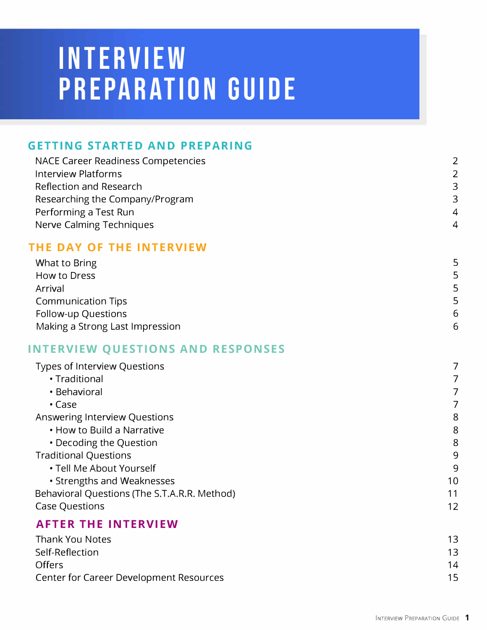# **INTERVIEW PREPARATION GUIDE**

#### **GETTING STARTED AND PREPARING**

| <b>NACE Career Readiness Competencies</b> | 2              |
|-------------------------------------------|----------------|
| Interview Platforms                       | 2              |
| Reflection and Research                   | 3              |
| Researching the Company/Program           | 3              |
| Performing a Test Run                     | $\overline{4}$ |
| Nerve Calming Techniques                  | $\overline{4}$ |
|                                           |                |

#### **THE DAY OF THE INTERVIEW**

| What to Bring                   | 5 |
|---------------------------------|---|
| How to Dress                    | 5 |
| Arrival                         | 5 |
| <b>Communication Tips</b>       | 5 |
| Follow-up Questions             | 6 |
| Making a Strong Last Impression | 6 |

#### **INTERVIEW QUESTIONS AND RESPONSES**

| Types of Interview Questions                 |                   |
|----------------------------------------------|-------------------|
| • Traditional                                |                   |
| • Behavioral                                 |                   |
| $\cdot$ Case                                 | 7                 |
| Answering Interview Questions                | 8                 |
| • How to Build a Narrative                   | 8                 |
| • Decoding the Question                      | 8                 |
| <b>Traditional Questions</b>                 | 9                 |
| • Tell Me About Yourself                     | 9                 |
| • Strengths and Weaknesses                   | 10                |
| Behavioral Questions (The S.T.A.R.R. Method) | 11                |
| <b>Case Questions</b>                        | $12 \overline{ }$ |
| <b>AFTER THE INTERVIEW</b>                   |                   |
| <b>Thank You Notes</b>                       | 13                |

| Self-Reflection                         |    |
|-----------------------------------------|----|
| <b>Offers</b>                           | 14 |
| Center for Career Development Resources |    |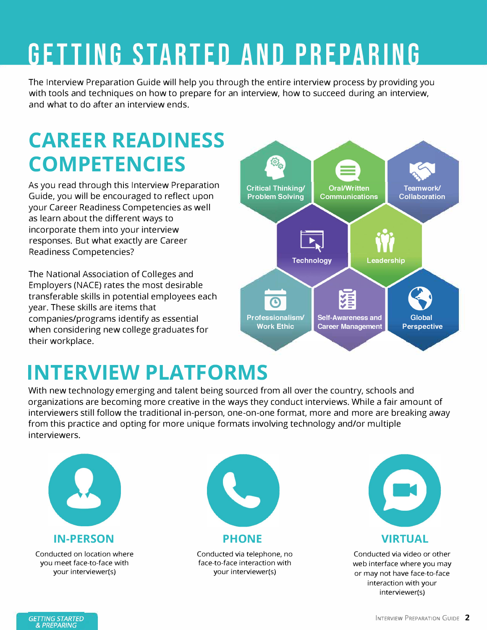# **GETTING STARTED AND PREPARING**

The Interview Preparation Guide will help you through the entire interview process by providing you with tools and techniques on how to prepare for an interview, how to succeed during an interview, and what to do after an interview ends.

### **CAREER READINESS COMPETENCIES**

As you read through this Interview Preparation Guide, you will be encouraged to reflect upon your Career Readiness Competencies as well as learn about the different ways to incorporate them into your interview responses. But what exactly are Career Readiness Competencies?

The National Association of Colleges and Employers (NACE) rates the most desirable transferable skills in potential employees each year. These skills are items that companies/programs identify as essential when considering new college graduates for their workplace.



### **INTERVIEW PLATFORMS**

With new technology emerging and talent being sourced from all over the country, schools and organizations are becoming more creative in the ways they conduct interviews. While a fair amount of interviewers still follow the traditional in-person, one-on-one format, more and more are breaking away from this practice and opting for more unique formats involving technology and/or multiple interviewers.



Conducted on location where you meet face-to-face with your interviewer(s)



Conducted via telephone, no face-to-face interaction with your interviewer(s)



Conducted via video or other web interface where you may or may not have face-to-face interaction with your interviewer(s)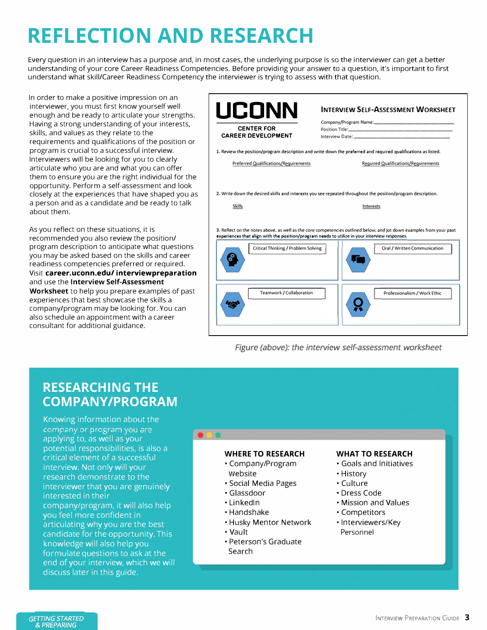## **REFLECTION AND RESEARCH**

Every question in an interview has a purpose and, in most cases, the underlying purpose is so the interviewer can get a better understanding of your core Career Readiness Competencies. Before providing your answer to a question, it's important to first understand what skill/Career Readiness Competency the interviewer is trying to assess with that question.

In order to make a positive impression on an interviewer, you must first know yourself well enough and be ready to articulate your strengths. Having a strong understanding of your interests, skills, and values as they relate to the requirements and qualifications of the position or program is crucial to a successful interview. Interviewers will be looking for you to clearly articulate who you are and what you can offer them to ensure you are the right individual for the opportunity. Perform a self-assessment and look closely at the experiences that have shaped you as a person and as a candidate and be ready to talk about them.

As you reflect on these situations, it is recommended you also review the position/ program description to anticipate what questions you may be asked based on the skills and career readiness competencies preferred or required. Visit **career.uconn.edu/ interviewpreparation**  and use the **Interview Self-Assessment Worksheet** to help you prepare examples of past experiences that best showcase the skills a company/program may be looking for. You can also schedule an appointment with a career consultant for additional guidance.

| <b>CENTER FOR</b><br><b>CAREER DEVELOPMENT</b> |                                                                                                                                                                                                                                                        |  |
|------------------------------------------------|--------------------------------------------------------------------------------------------------------------------------------------------------------------------------------------------------------------------------------------------------------|--|
|                                                | 1. Review the position/program description and write down the preferred and required qualifications as listed.                                                                                                                                         |  |
| <b>Preferred Qualifications/Requirements</b>   | <b>Required Qualifications/Requirements</b>                                                                                                                                                                                                            |  |
|                                                | 2. Write down the desired skills and interests you see repeated throughout the position/program description.                                                                                                                                           |  |
| Skills                                         | Interests                                                                                                                                                                                                                                              |  |
|                                                |                                                                                                                                                                                                                                                        |  |
| <b>Critical Thinking / Problem Solving</b>     | 3. Reflect on the notes above, as well as the core competencies outlined below, and jot down examples from your past<br>experiences that align with the position/program needs to utilize in your interview responses.<br>Oral / Written Communication |  |

*Figure (above): the interview self-assessment worksheet* 

#### **RESEARCHING THE COMPANY/PROGRAM**

Knowing information about the company or program you are applying to, as well as your potential responsibilities, is also a critical element of a successful interview. Not only will your research demonstrate to the interviewer that you are genuinely interested in their company/program, it will also help you feel more confident in articulating why you are the best candidate for the opportunity. This knowledge will also help you formulate questions to ask at the end of your interview, which we will discuss later in this guide.

#### **WHERE TO RESEARCH**

- Company/Program Website
- Social Media Pages
- Glassdoor
- Linkedln
- Handshake
- Husky Mentor Network
- Vault
- Peterson's Graduate Search

#### **WHAT TO RESEARCH**

- Goals and Initiatives
- History
- Culture
- Dress Cade
- Mission and Values
- Competitors
- Interviewers/Key Personnel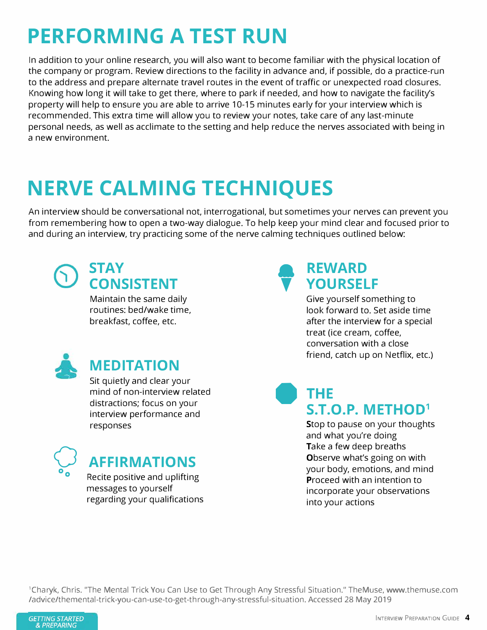### **PERFORMING A TEST RUN**

In addition to your online research, you will also want to become familiar with the physical location of the company or program. Review directions to the facility in advance and, if possible, do a practice-run to the address and prepare alternate travel routes in the event of traffic or unexpected road closures. Knowing how long it will take to get there, where to park if needed, and how to navigate the facility's property will help to ensure you are able to arrive 10-15 minutes early for your interview which is recommended. This extra time will allow you to review your notes, take care of any last-minute personal needs, as well as acclimate to the setting and help reduce the nerves associated with being in a new environment.

### **NERVE CALMING TECHNIQUES**

An interview should be conversational not, interrogational, but sometimes your nerves can prevent you from remembering how to open a two-way dialogue. To help keep your mind clear and focused prior to and during an interview, try practicing some of the nerve calming techniques outlined below:



#### **STAY CONSISTENT**

Maintain the same daily routines: bed/wake time, breakfast, coffee, etc.



### **MEDITATION**

Sit quietly and clear your mind of non-interview related distractions; focus on your interview performance and responses



### **AFFIRMATIONS**

Recite positive and uplifting messages to yourself regarding your qualifications

#### **a T REWARD YOURSELF**

Give yourself something to look forward to. Set aside time after the interview for a special treat (ice cream, coffee, conversation with a close friend, catch up on Netflix, etc.)

### **• THE S.T.O.P. METHOD<sup>1</sup>**

Stop to pause on your thoughts and what you're doing Take a few deep breaths Observe what's going on with your body, emotions, and mind Proceed with an intention to incorporate your observations into your actions

<sup>1</sup> Charyk, Chris. "The Mental Trick You Can Use to Get Through Any Stressful Situation." TheMuse, www.themuse.com /advice/themental-trick-you-can-use-to-get-through-any-stressful-situation. Accessed 28 May 2019

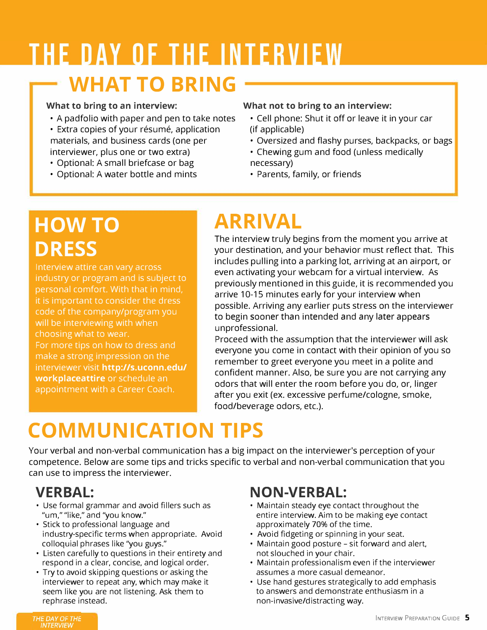## THE DAY OF THE INTERVIEW **WHAT TO BRING**

- 
- Extra copies of your résumé, application (if applicable) materials, and business cards (one per interviewer, plus one or two extra)
- Optional: A small briefcase or bag necessary)
- Optional: A water bottle and mints

#### **What to bring to an interview: What not to bring to an interview:**

- A padfolio with paper and pen to take notes Cell phone: Shut it off or leave it in your car
	- Oversized and flashy purses, backpacks, or bags
	- Chewing gum and food (unless medically
	-
	- Parents, family, or friends

### **HOWTO DRESS**

Interview attire can vary across industry or program and is subject to personal comfort. With that in mind, it is important to consider the dress code of the company/program you will be interviewing with when choosing what to wear. For more tips on how to dress and

make a strong impression on the interviewer visit **http://s.uconn.edu/ workplaceattire** or schedule an appointment with a Career Coach.

### **ARRIVAL**

The interview truly begins from the moment you arrive at your destination, and your behavior must reflect that. This includes pulling into a parking lot, arriving at an airport, or even activating your webcam for a virtual interview. As previously mentioned in this guide, it is recommended you arrive 10-15 minutes early for your interview when possible. Arriving any earlier puts stress on the interviewer to begin sooner than intended and any later appears unprofessional.

Proceed with the assumption that the interviewer will ask everyone you come in contact with their opinion of you so remember to greet everyone you meet in a polite and confident manner. Also, be sure you are not carrying any odors that will enter the room before you do, or, linger after you exit (ex. excessive perfume/cologne, smoke, food/beverage odors, etc.).

### **COMMUNICATION TIPS**

Your verbal and non-verbal communication has a big impact on the interviewer's perception of your competence. Below are some tips and tricks specific to verbal and non-verbal communication that you can use to impress the interviewer.

### **VERBAL:**

- Use formal grammar and avoid fillers such as "um," "like," and "you know."
- Stick to professional language and industry-specific terms when appropriate. Avoid colloquial phrases like "you guys."
- Listen carefully to questions in their entirety and respond in a clear, concise, and logical order.
- Try to avoid skipping questions or asking the interviewer to repeat any, which may make it seem like you are not listening. Ask them to rephrase instead.

### **NON-VERBAL:**

- Maintain steady eye contact throughout the entire interview. Aim to be making eye contact approximately 70% of the time.
- Avoid fidgeting or spinning in your seat.
- Maintain good posture sit forward and alert, not slouched in your chair.
- Maintain professionalism even if the interviewer assumes a more casual demeanor.
- Use hand gestures strategically to add emphasis to answers and demonstrate enthusiasm in a non-invasive/distracting way.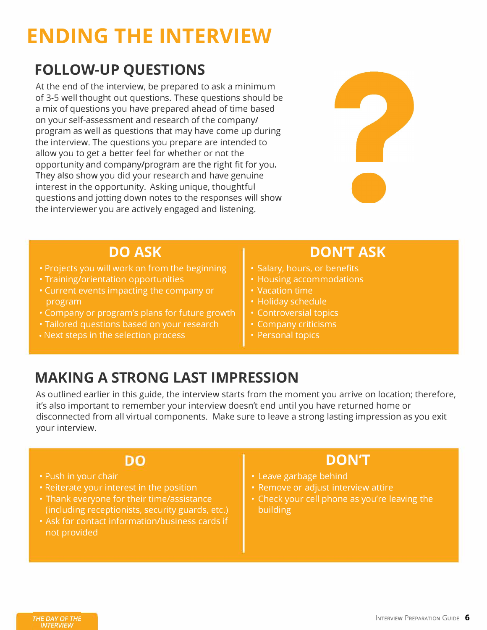## **ENDING THE INTERVIEW**

### **FOLLOW-UP QUESTIONS**

At the end of the interview, be prepared to ask a minimum of 3-5 well thought out questions. These questions should be a mix of questions you have prepared ahead of time based on your self-assessment and research of the company/ program as well as questions that may have come up during the interview. The questions you prepare are intended to allow you to get a better feel for whether or not the opportunity and company/program are the right fit for you. They also show you did your research and have genuine interest in the opportunity. Asking unique, thoughtful questions and jotting down notes to the responses will show the interviewer you are actively engaged and listening.



- Projects you will work on from the beginning  $\|\cdot\|$  Salary, hours, or benefits
- Training/orientation opportunities  **The Landslife of School** Housing accommodations
- Current events impacting the company or  $\|\cdot\|$  Vacation time program **• Holiday schedule**
- Company or program's plans for future growth  $\|\cdot\|$  Controversial topics
- Tailored questions based on your research **Fig. 1** Company criticisms
- Next steps in the selection process  $\|\cdot\|$  Personal topics

### **DO ASK CONTAINS AND BON'T ASK**

- 
- 
- 
- 
- 
- 
- 

### **MAKING A STRONG LAST IMPRESSION**

As outlined earlier in this guide, the interview starts from the moment you arrive on location; therefore, it's also important to remember your interview doesn't end until you have returned home or disconnected from all virtual components. Make sure to leave a strong lasting impression as you exit your interview.

#### DO

- Push in your chair
- Reiterate your interest in the position
- Thank everyone for their time/assistance (including receptionists, security guards, etc.)
- Ask for contact information/business cards if not provided

#### **DON'T**

- Leave garbage behind
- Remove or adjust interview attire
- Check your cell phone as you're leaving the building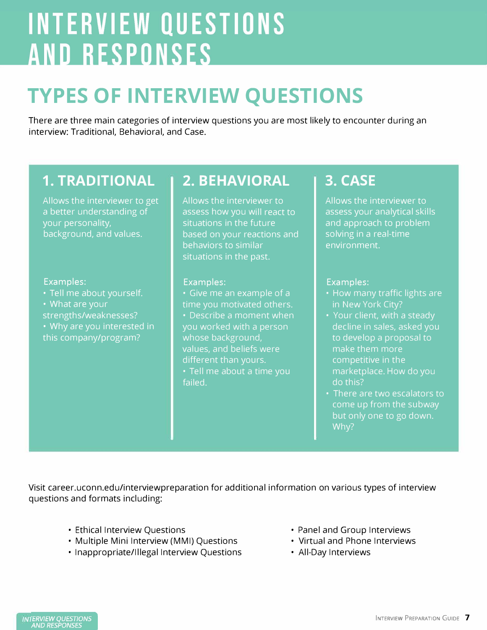# **INTERVIEW QUESTIONS AND RESPONSES**

### **TYPES OF INTERVIEW QUESTIONS**

There are three main categories of interview questions you are most likely to encounter during an interview: Traditional, Behavioral, and Case.

### **1. TRADITIONAL**

Allows the interviewer to get a better understanding of your personality, background, and values.

#### Examples:

- Tell me about yourself.
- What are your
- strengths/weaknesses?
- Why are you interested in this company/program?

### **2. BEHAVIORAL**

Allows the interviewer to assess how you will react to situations in the future based on your reactions and behaviors to similar situations in the past.

#### Examples:

• Give me an example of a time you motivated others. • Describe a moment when you worked with a person whose background, values, and beliefs were different than yours. • Tell me about a time you failed.

### **3. CASE**

Allows the interviewer to assess your analytical skills and approach to problem solving in a real-time environment.

#### Examples:

- How many traffic lights are in New York City?
- Your client, with a steady decline in sales, asked you to develop a proposal to make them more competitive in the marketplace. How do you do this?
- There are two escalators to come up from the subway but only one to go down. Why?

Visit career.uconn.edu/interviewpreparation for additional information on various types of interview questions and formats including:

- Ethical Interview Questions
- Multiple Mini Interview (MMI) Questions
- Inappropriate/Illegal Interview Questions
- Panel and Group Interviews
- Virtual and Phone Interviews
- All-Day Interviews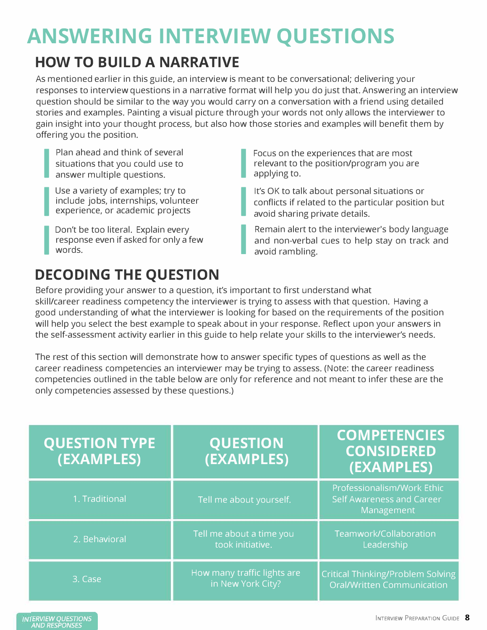### **ANSWERING INTERVIEW QUESTIONS**

### **HOW TO BUILD A NARRATIVE**

As mentioned earlier in this guide, an interview is meant to be conversational; delivering your responses to interview questions in a narrative format will help you do just that. Answering an interview question should be similar to the way you would carry on a conversation with a friend using detailed stories and examples. Painting a visual picture through your words not only allows the interviewer to gain insight into your thought process, but also how those stories and examples will benefit them by offering you the position.

I Plan ahead and think of several<br>
Figure 2011<br>
Situations that you could use to answer multiple questions.

I Shuddoms that you could use to<br>
answer multiple questions.<br>
Use a variety of examples; try to<br>
include jobs, internships, volunteer experience, or academic projects<br>
answer multiple questions.<br>
Use a variety of examples; try to<br>
include jobs, internships, volunteer<br>
experience, or academic projects experience, or academic projects<br>Don't be too literal. Explain every

response even if asked for only a few words.

I Focus on the experiences that are most relevant to the position/program you are applying to.

It's OK to talk about personal situations or conflicts if related to the particular position but avoid sharing private details.

Remain alert to the interviewer's body language and non-verbal cues to help stay on track and avoid rambling.

### **DECODING THE QUESTION**

Before providing your answer to a question, it's important to first understand what skill/career readiness competency the interviewer is trying to assess with that question. Having a good understanding of what the interviewer is looking for based on the requirements of the position will help you select the best example to speak about in your response. Reflect upon your answers in the self-assessment activity earlier in this guide to help relate your skills to the interviewer's needs.

I

The rest of this section will demonstrate how to answer specific types of questions as well as the career readiness competencies an interviewer may be trying to assess. (Note: the career readiness competencies outlined in the table below are only for reference and not meant to infer these are the only competencies assessed by these questions.)

| <b>QUESTION TYPE</b><br>(EXAMPLES) | <b>QUESTION</b><br>(EXAMPLES)                    | <b>COMPETENCIES</b><br><b>CONSIDERED</b><br>(EXAMPLES)                        |
|------------------------------------|--------------------------------------------------|-------------------------------------------------------------------------------|
| 1. Traditional                     | Tell me about yourself.                          | Professionalism/Work Ethic<br><b>Self Awareness and Career</b><br>Management  |
| 2. Behavioral                      | Tell me about a time you<br>took initiative.     | Teamwork/Collaboration<br>Leadership                                          |
| 3. Case                            | How many traffic lights are<br>in New York City? | <b>Critical Thinking/Problem Solving</b><br><b>Oral/Written Communication</b> |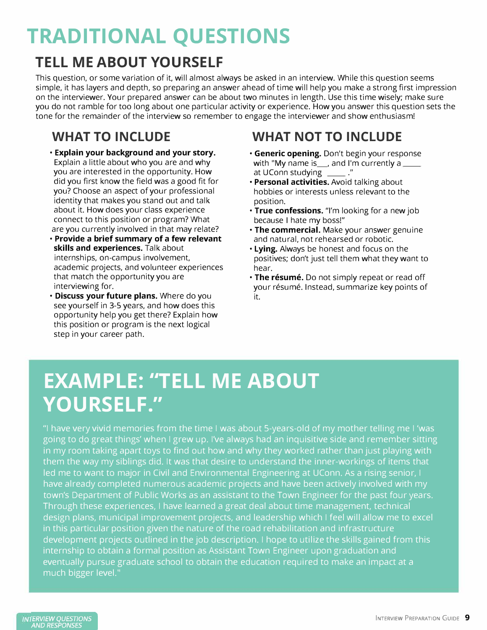### **TRADITIONAL QUESTIONS**

### **TELL ME ABOUT YOURSELF**

This question, or some variation of it, will almost always be asked in an interview. While this question seems simple, it has layers and depth, so preparing an answer ahead of time will help you make a strong first impression on the interviewer. Your prepared answer can be about two minutes in length. Use this time wisely; make sure you do not ramble for too long about one particular activity or experience. How you answer this question sets the tone for the remainder of the interview so remember to engage the interviewer and show enthusiasm!

#### **WHAT TO INCLUDE**

- **Explain your background and your story.** Explain a little about who you are and why you are interested in the opportunity. How did you first know the field was a good fit for you? Choose an aspect of your professional identity that makes you stand out and talk about it. How does your class experience connect to this position or program? What are you currently involved in that may relate?
- **Provide a brief summary of a few relevant skills and experiences.** Talk about internships, on-campus involvement, academic projects, and volunteer experiences that match the opportunity you are interviewing for.
- **• Discuss your future plans.** Where do you see yourself in 3-5 years, and how does this opportunity help you get there? Explain how this position or program is the next logical step in your career path.

### **WHAT NOT TO INCLUDE**

- **• Generic opening.** Don't begin your response with "My name is  $\frac{1}{2}$ , and I'm currently a at UConn studying \_\_\_\_\_ ."
- **• Personal activities.** Avoid talking about hobbies or interests unless relevant to the position.
- **• True confessions.** "I'm looking for a new job because I hate my boss!"
- **• The commercial.** Make your answer genuine and natural, not rehearsed or robotic.
- **• Lying.** Always be honest and focus on the positives; don't just tell them what they want to hear.
- **• The resume.** Do not simply repeat or read off your résumé. Instead, summarize key points of it.

### **EXAMPLE: "TELL ME ABOUT YOURSELF."**

"I have very vivid memories from the time I was about 5-years-old of my mother telling me I 'was going to do great things' when I grew up. I've always had an inquisitive side and remember sitting in my room taking apart toys to find out how and why they worked rather than just playing with them the way my siblings did. It was that desire to understand the inner-workings of items that led me to want to major in Civil and Environmental Engineering at UConn. As a rising senior, I have already completed numerous academic projects and have been actively involved with my town's Department of Public Works as an assistant to the Town Engineer for the past four years. Through these experiences, I have learned a great deal about time management, technical design plans, municipal improvement projects, and leadership which I feel will allow me to excel in this particular position given the nature of the road rehabilitation and infrastructure development projects outlined in the job description. I hope to utilize the skills gained from this internship to obtain a formal position as Assistant Town Engineer upon graduation and eventually pursue graduate school to obtain the education required to make an impact at a much bigger level."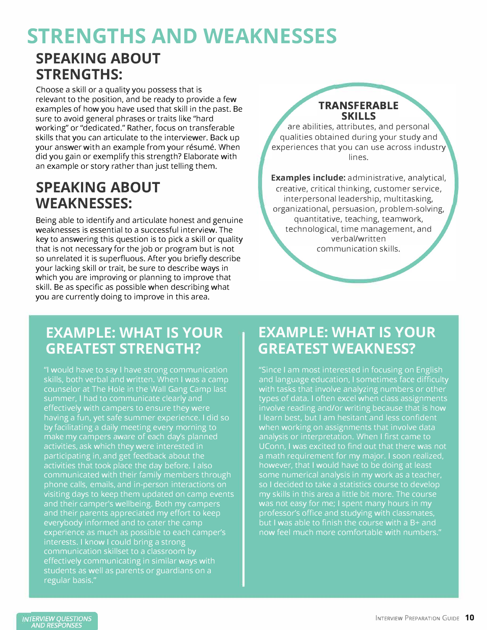### **STRENGTHS AND WEAKNESSES SPEAKING ABOUT STRENGTHS:**

Choose a skill or a quality you possess that is relevant to the position, and be ready to provide a few examples of how you have used that skill in the past. Be sure to avoid general phrases or traits like "hard working" or "dedicated." Rather, focus on transferable skills that you can articulate to the interviewer. Back up your answer with an example from your résumé. When did you gain or exemplify this strength? Elaborate with an example or story rather than just telling them.

### **SPEAKING ABOUT WEAKNESSES:**

Being able to identify and articulate honest and genuine weaknesses is essential to a successful interview. The key to answering this question is to pick a skill or quality that is not necessary for the job or program but is not so unrelated it is superfluous. After you briefly describe your lacking skill or trait, be sure to describe ways in which you are improving or planning to improve that skill. Be as specific as possible when describing what you are currently doing to improve in this area.

#### **TRANSFERABLE SKILLS**

are abilities, attributes, and personal qualities obtained during your study and experiences that you can use across industry lines.

**Examples include:** administrative, analytical, creative, critical thinking, customer service, interpersonal leadership, multitasking, organizational, persuasion, problem-solving, quantitative, teaching, teamwork, technological, time management, and verbal/written communication skills.

### **EXAMPLE: WHAT IS YOUR GREATEST STRENGTH?**

"I would have to say I have strong communication skills, both verbal and written. When I was a camp counselor at The Hole in the Wall Gang Camp last summer, I had to communicate clearly and effectively with campers to ensure they were having a fun, yet safe summer experience. I did so by facilitating a daily meeting every morning to make my campers aware of each day's planned participating in, and get feedback about the activities that took place the day before. I also communicated with their family members through phone calls, emails, and in-person interactions on visiting days to keep them updated on camp events and their camper's wellbeing. Both my campers and their parents appreciated my effort to keep everybody informed and to cater the camp experience as much as possible to each camper's interests. I know I could bring a strong communication skillset to a classroom by effectively communicating in similar ways with students as well as parents or guardians on a regular basis."

### **EXAMPLE: WHAT IS YOUR GREATEST WEAKNESS?**

"Since I am most interested in focusing on English and language education, I sometimes face difficulty with tasks that involve analyzing numbers or other types of data. I often excel when class assignments involve reading and/or writing because that is how I learn best, but I am hesitant and less confident when working on assignments that involve data analysis or interpretation. When I first came to a math requirement for my major. I soon realized, however, that I would have to be doing at least some numerical analysis in my work as a teacher, so I decided to take a statistics course to develop professor's office and studying with classmates, but I was able to finish the course with a B+ and now feel much more comfortable with numbers."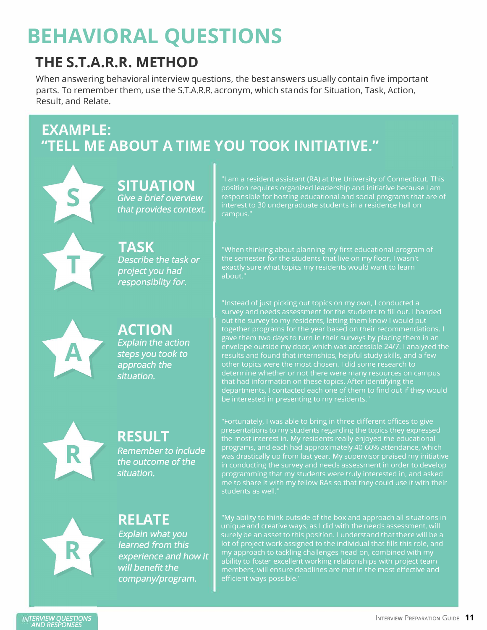### **BEHAVIORAL QUESTIONS**

### **THE S.T.A.R.R. METHOD**

When answering behavioral interview questions, the best answers usually contain five important parts. To remember them, use the S.T.A.R.R. acronym, which stands for Situation, Task, Action, Result, and Relate.

### **EXAMPLE: "TELL ME ABOUT A TIME YOU TOOK INITIATIVE."**

**SITUATION**  *Give a brief overview that provides context.* 

**TASK** Describe the task or

project you had responsiblity for. position requires organized leadership and initiative because I am responsible for hosting educational and social programs that are of interest to 30 undergraduate students in a residence hall on campus."

"When thinking about planning my first educational program of the semester for the students that live on my floor, I wasn't about."

#### **ACTION**  *Explain the action steps you took to approach the*

*situation.* 



### **RESULT**  *the outcome of the*

*Remember to include situation.* 

## **RELATE**

*Explain what you learned from this experience and how it will benefit the company/program.* 

out the survey to my residents, letting them know I would put together programs for the year based on their recommendations. I gave them two days to turn in their surveys by placing them in an other topics were the most chosen. I did some research to determine whether or not there were many resources on campus that had information on these topics. After identifying the

"Fortunately, I was able to bring in three different offices to give presentations to my students regarding the topics they expressed the most interest in. My residents really enjoyed the educational programs, and each had approximately 40-60% attendance, which in conducting the survey and needs assessment in order to develop programming that my students were truly interested in, and asked me to share it with my fellow RAs so that they could use it with their students as well."

"My ability to think outside of the box and approach all situations in surely be an asset to this position. I understand that there will be a lot of project work assigned to the individual that fills this role, and my approach to tackling challenges head-on, combined with my ability to foster excellent working relationships with project team members, will ensure deadlines are met in the most effective and efficient ways possible."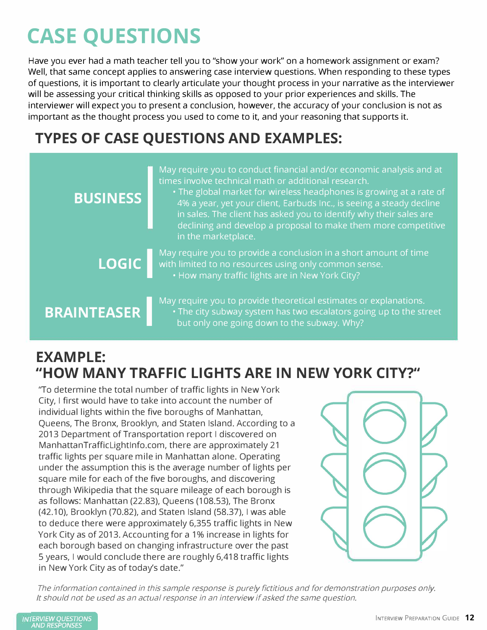### **CASE QUESTIONS**

Have you ever had a math teacher tell you to "show your work" on a homework assignment or exam? Well, that same concept applies to answering case interview questions. When responding to these types of questions, it is important to clearly articulate your thought process in your narrative as the interviewer will be assessing your critical thinking skills as opposed to your prior experiences and skills. The interviewer will expect you to present a conclusion, however, the accuracy of your conclusion is not as important as the thought process you used to come to it, and your reasoning that supports it.

### **TYPES OF CASE QUESTIONS AND EXAMPLES:**

| <b>BUSINESS</b>    | May require you to conduct financial and/or economic analysis and at<br>times involve technical math or additional research.<br>• The global market for wireless headphones is growing at a rate of<br>4% a year, yet your client, Earbuds Inc., is seeing a steady decline<br>in sales. The client has asked you to identify why their sales are<br>declining and develop a proposal to make them more competitive<br>in the marketplace. |
|--------------------|--------------------------------------------------------------------------------------------------------------------------------------------------------------------------------------------------------------------------------------------------------------------------------------------------------------------------------------------------------------------------------------------------------------------------------------------|
| <b>LOGIC</b>       | May require you to provide a conclusion in a short amount of time<br>with limited to no resources using only common sense.<br>. How many traffic lights are in New York City?                                                                                                                                                                                                                                                              |
| <b>BRAINTEASER</b> | May require you to provide theoretical estimates or explanations.<br>. The city subway system has two escalators going up to the street<br>but only one going down to the subway. Why?                                                                                                                                                                                                                                                     |

### **EXAMPLE: "HOW MANY TRAFFIC LIGHTS ARE IN NEW YORK CITY?"**

"To determine the total number of traffic lights in New York City, I first would have to take into account the number of individual lights within the five boroughs of Manhattan, Queens, The Bronx, Brooklyn, and Staten Island. According to a 2013 Department of Transportation report I discovered on ManhattanTrafficlightlnfo.com, there are approximately 21 traffic lights per square mile in Manhattan alone. Operating under the assumption this is the average number of lights per square mile for each of the five boroughs, and discovering through Wikipedia that the square mileage of each borough is as follows: Manhattan (22.83), Queens (108.53), The Bronx (42.10), Brooklyn (70.82), and Staten Island (58.37), I was able to deduce there were approximately 6,355 traffic lights in New York City as of 2013. Accounting for a 1% increase in lights for each borough based on changing infrastructure over the past 5 years, I would conclude there are roughly 6,418 traffic lights in New York City as of today's date."



The information contained in this sample response is purely fictitious and for demonstration purposes only. It should not be used as an actual response in an interview if asked the same question.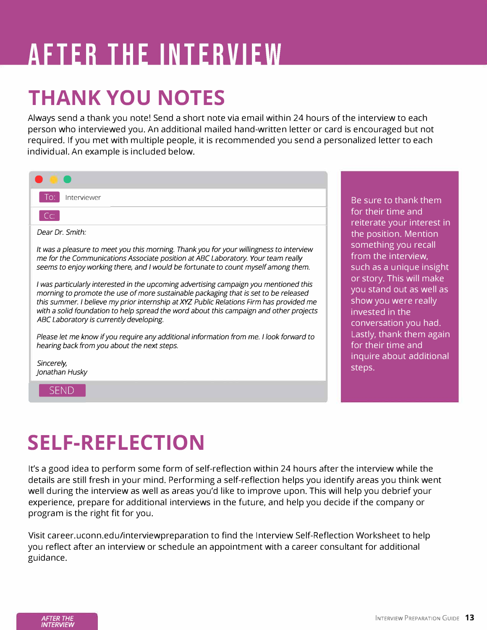# **AFTER THE INTERVIEW**

### **THANK YOU NOTES**

Always send a thank you note! Send a short note via email within 24 hours of the interview to each person who interviewed you. An additional mailed hand-written letter or card is encouraged but not required. If you met with multiple people, it is recommended you send a personalized letter to each individual. An example is included below.

| Interviewer<br>-lo:                                                                                                                                                                                                                                                                                                                                                                                          |
|--------------------------------------------------------------------------------------------------------------------------------------------------------------------------------------------------------------------------------------------------------------------------------------------------------------------------------------------------------------------------------------------------------------|
| CC:                                                                                                                                                                                                                                                                                                                                                                                                          |
| Dear Dr. Smith:                                                                                                                                                                                                                                                                                                                                                                                              |
| It was a pleasure to meet you this morning. Thank you for your willingness to interview<br>me for the Communications Associate position at ABC Laboratory. Your team really<br>seems to enjoy working there, and I would be fortunate to count myself among them.                                                                                                                                            |
| I was particularly interested in the upcoming advertising campaign you mentioned this<br>morning to promote the use of more sustainable packaging that is set to be released<br>this summer. I believe my prior internship at XYZ Public Relations Firm has provided me<br>with a solid foundation to help spread the word about this campaign and other projects<br>ABC Laboratory is currently developing. |
| Please let me know if you require any additional information from me. I look forward to<br>hearing back from you about the next steps.                                                                                                                                                                                                                                                                       |
| Sincerely,<br>Jonathan Husky                                                                                                                                                                                                                                                                                                                                                                                 |

**SEND** 

sure to thank them their time and terate your interest in **e** position. Mention mething you recall m the interview, ch as a unique insight story. This will make u stand out as well as ow you were really rested in the nversation you had. stly, thank them again  $\overline{\text{t}}$  their time and inquire about additional ps.

### **SELF-REFLECTION**

It's a good idea to perform some form of self-reflection within 24 hours after the interview while the details are still fresh in your mind. Performing a self-reflection helps you identify areas you think went well during the interview as well as areas you'd like to improve upon. This will help you debrief your experience, prepare for additional interviews in the future, and help you decide if the company or program is the right fit for you.

Visit career.uconn.edu/interviewpreparation to find the Interview Self-Reflection Worksheet to help you reflect after an interview or schedule an appointment with a career consultant for additional guidance.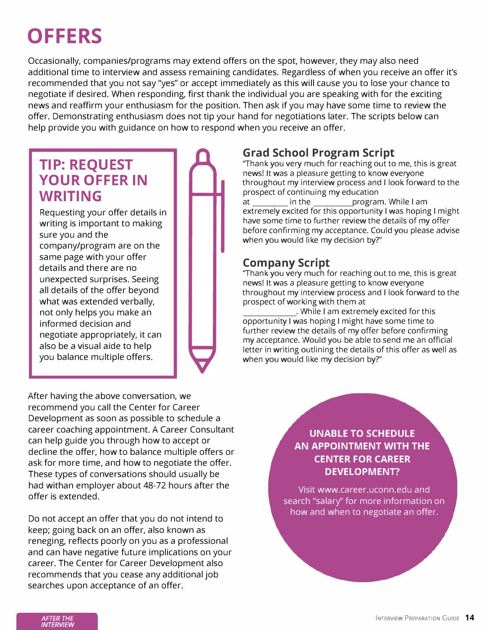### **OFFERS**

Occasionally, companies/programs may extend offers on the spot, however, they may also need additional time to interview and assess remaining candidates. Regardless of when you receive an offer it's recommended that you not say "yes" or accept immediately as this will cause you to lose your chance to negotiate if desired. When responding, first thank the individual you are speaking with for the exciting news and reaffirm your enthusiasm for the position. Then ask if you may have some time to review the offer. Demonstrating enthusiasm does not tip your hand for negotiations later. The scripts below can help provide you with guidance on how to respond when you receive an offer.

### **TIP: REQUEST YOUR OFFER IN WRITING**

Requesting your offer details in writing is important to making sure you and the company/program are on the same page with your offer details and there are no unexpected surprises. Seeing all details of the offer beyond what was extended verbally, not only helps you make an informed decision and negotiate appropriately, it can also be a visual aide to help you balance multiple offers.

After having the above conversation, we recommend you call the Center for Career Development as soon as possible to schedule a career coaching appointment. A Career Consultant can help guide you through how to accept or decline the offer, how to balance multiple offers or ask for more time, and how to negotiate the offer. These types of conversations should usually be had withan employer about 48-72 hours after the offer is extended.

Do not accept an offer that you do not intend to keep; going back on an offer, also known as reneging, reflects poorly on you as a professional and can have negative future implications on your career. The Center for Career Development also recommends that you cease any additional job searches upon acceptance of an offer.

#### **Grad School Program Script**

"Thank you very much for reaching out to me, this is great news! It was a pleasure getting to know everyone throughout my interview process and I look forward to the prospect of continuing my education at \_\_\_ in the \_\_\_\_ program. While I am extremely excited for this opportunity I was hoping I might have some time to further review the details of my offer before confirming my acceptance. Could you please advise when you would like my decision by?"

#### **Company Script**

"Thank you very much for reaching out to me, this is great news! It was a pleasure getting to know everyone throughout my interview process and I look forward to the prospect of working with them at

. While I am extremely excited for this opportunity I was hoping I might have some time to further review the details of my offer before confirming my acceptance. Would you be able to send me an official letter in writing outlining the details of this offer as well as when you would like my decision by?"

> **UNABLE TO SCHEDULE AN APPOINTMENT WITH THE CENTER FOR CAREER DEVELOPMENT?**

Visit www.career.uconn.edu and search "salary" for more information on how and when to negotiate an offer.